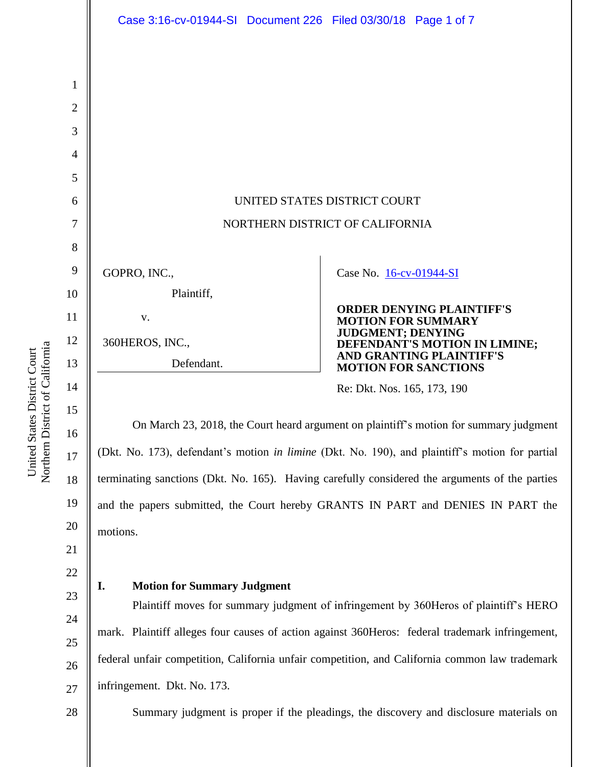|                | Case 3:16-cv-01944-SI Document 226 Filed 03/30/18 Page 1 of 7                                   |                             |                                                         |
|----------------|-------------------------------------------------------------------------------------------------|-----------------------------|---------------------------------------------------------|
|                |                                                                                                 |                             |                                                         |
|                |                                                                                                 |                             |                                                         |
| 1              |                                                                                                 |                             |                                                         |
| 2              |                                                                                                 |                             |                                                         |
| 3              |                                                                                                 |                             |                                                         |
| $\overline{4}$ |                                                                                                 |                             |                                                         |
| 5              |                                                                                                 |                             |                                                         |
| 6              | UNITED STATES DISTRICT COURT                                                                    |                             |                                                         |
| 7              | NORTHERN DISTRICT OF CALIFORNIA                                                                 |                             |                                                         |
| 8              |                                                                                                 |                             |                                                         |
| 9              | GOPRO, INC.,                                                                                    | Case No. 16-cv-01944-SI     |                                                         |
| 10             | Plaintiff,                                                                                      |                             |                                                         |
| 11             | V.                                                                                              | <b>MOTION FOR SUMMARY</b>   | <b>ORDER DENYING PLAINTIFF'S</b>                        |
| 12             | 360HEROS, INC.,                                                                                 | <b>JUDGMENT; DENYING</b>    | DEFENDANT'S MOTION IN LIMINE;                           |
| 13             | Defendant.                                                                                      |                             | AND GRANTING PLAINTIFF'S<br><b>MOTION FOR SANCTIONS</b> |
| 14             |                                                                                                 | Re: Dkt. Nos. 165, 173, 190 |                                                         |
| 15             |                                                                                                 |                             |                                                         |
| 16             | On March 23, 2018, the Court heard argument on plaintiff's motion for summary judgment          |                             |                                                         |
| 17             | (Dkt. No. 173), defendant's motion in limine (Dkt. No. 190), and plaintiff's motion for partial |                             |                                                         |

terminating sanctions (Dkt. No. 165). Having carefully considered the arguments of the parties and the papers submitted, the Court hereby GRANTS IN PART and DENIES IN PART the motions.

# 23

## **I. Motion for Summary Judgment**

Plaintiff moves for summary judgment of infringement by 360Heros of plaintiff's HERO mark. Plaintiff alleges four causes of action against 360Heros: federal trademark infringement, federal unfair competition, California unfair competition, and California common law trademark infringement. Dkt. No. 173.

Summary judgment is proper if the pleadings, the discovery and disclosure materials on

Northern District of California Northern District of California United States District Court United States District Court

18

19

20

21

22

24

25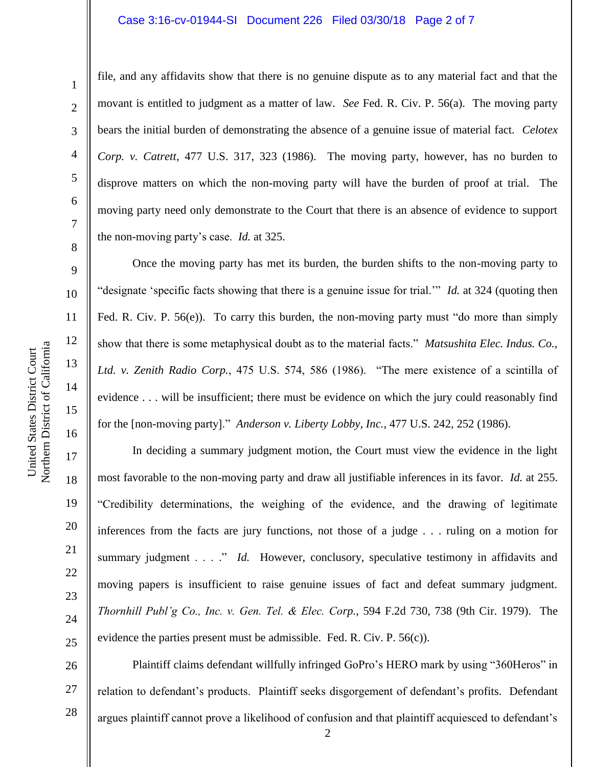#### Case 3:16-cv-01944-SI Document 226 Filed 03/30/18 Page 2 of 7

1

2

3

4

5

6

7

8

9

10

11

12

13

14

15

16

17

18

19

20

21

22

23

24

25

file, and any affidavits show that there is no genuine dispute as to any material fact and that the movant is entitled to judgment as a matter of law. *See* Fed. R. Civ. P. 56(a). The moving party bears the initial burden of demonstrating the absence of a genuine issue of material fact. *Celotex Corp. v. Catrett*, 477 U.S. 317, 323 (1986). The moving party, however, has no burden to disprove matters on which the non-moving party will have the burden of proof at trial. The moving party need only demonstrate to the Court that there is an absence of evidence to support the non-moving party's case. *Id.* at 325.

Once the moving party has met its burden, the burden shifts to the non-moving party to "designate 'specific facts showing that there is a genuine issue for trial.'" *Id.* at 324 (quoting then Fed. R. Civ. P. 56(e)). To carry this burden, the non-moving party must "do more than simply show that there is some metaphysical doubt as to the material facts." *Matsushita Elec. Indus. Co., Ltd. v. Zenith Radio Corp.*, 475 U.S. 574, 586 (1986). "The mere existence of a scintilla of evidence . . . will be insufficient; there must be evidence on which the jury could reasonably find for the [non-moving party]." *Anderson v. Liberty Lobby, Inc.*, 477 U.S. 242, 252 (1986).

In deciding a summary judgment motion, the Court must view the evidence in the light most favorable to the non-moving party and draw all justifiable inferences in its favor. *Id.* at 255. "Credibility determinations, the weighing of the evidence, and the drawing of legitimate inferences from the facts are jury functions, not those of a judge . . . ruling on a motion for summary judgment . . . ." *Id.* However, conclusory, speculative testimony in affidavits and moving papers is insufficient to raise genuine issues of fact and defeat summary judgment. *Thornhill Publ'g Co., Inc. v. Gen. Tel. & Elec. Corp.*, 594 F.2d 730, 738 (9th Cir. 1979). The evidence the parties present must be admissible. Fed. R. Civ. P. 56(c)).

26 27 28 Plaintiff claims defendant willfully infringed GoPro's HERO mark by using "360Heros" in relation to defendant's products. Plaintiff seeks disgorgement of defendant's profits. Defendant argues plaintiff cannot prove a likelihood of confusion and that plaintiff acquiesced to defendant's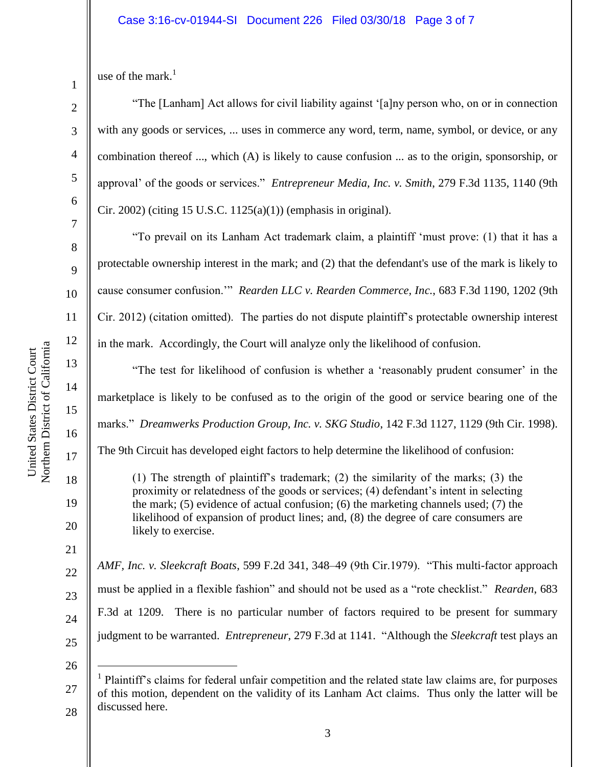use of the mark. $1$ 

1

2

3

4

5

6

7

8

9

10

11

12

13

14

15

16

17

18

19

20

21

22

23

24

"The [Lanham] Act allows for civil liability against '[a]ny person who, on or in connection with any goods or services, ... uses in commerce any word, term, name, symbol, or device, or any combination thereof ..., which (A) is likely to cause confusion ... as to the origin, sponsorship, or approval' of the goods or services." *Entrepreneur Media, Inc. v. Smith*, 279 F.3d 1135, 1140 (9th Cir. 2002) (citing 15 U.S.C. 1125(a)(1)) (emphasis in original).

"To prevail on its Lanham Act trademark claim, a plaintiff 'must prove: (1) that it has a protectable ownership interest in the mark; and (2) that the defendant's use of the mark is likely to cause consumer confusion.'" *Rearden LLC v. Rearden Commerce, Inc.*, 683 F.3d 1190, 1202 (9th Cir. 2012) (citation omitted). The parties do not dispute plaintiff's protectable ownership interest in the mark. Accordingly, the Court will analyze only the likelihood of confusion.

"The test for likelihood of confusion is whether a 'reasonably prudent consumer' in the marketplace is likely to be confused as to the origin of the good or service bearing one of the marks." *Dreamwerks Production Group, Inc. v. SKG Studio*, 142 F.3d 1127, 1129 (9th Cir. 1998).

The 9th Circuit has developed eight factors to help determine the likelihood of confusion:

(1) The strength of plaintiff's trademark; (2) the similarity of the marks; (3) the proximity or relatedness of the goods or services; (4) defendant's intent in selecting the mark; (5) evidence of actual confusion; (6) the marketing channels used; (7) the likelihood of expansion of product lines; and, (8) the degree of care consumers are likely to exercise.

*AMF, Inc. v. Sleekcraft Boats*, 599 F.2d 341, 348–49 (9th Cir.1979). "This multi-factor approach must be applied in a flexible fashion" and should not be used as a "rote checklist." *Rearden*, 683 F.3d at 1209. There is no particular number of factors required to be present for summary judgment to be warranted. *Entrepreneur*, 279 F.3d at 1141. "Although the *Sleekcraft* test plays an

25 26

 $\overline{a}$ 

<sup>27</sup> 28 1 Plaintiff's claims for federal unfair competition and the related state law claims are, for purposes of this motion, dependent on the validity of its Lanham Act claims. Thus only the latter will be discussed here.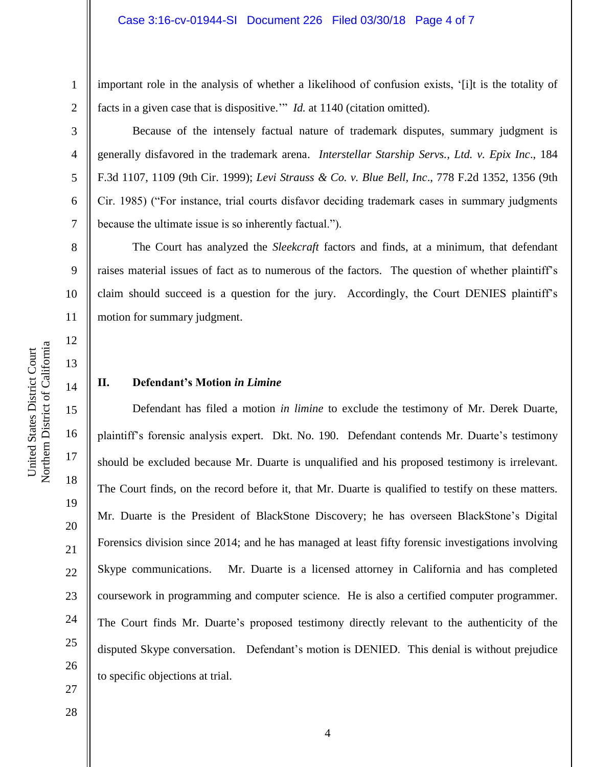important role in the analysis of whether a likelihood of confusion exists, '[i]t is the totality of facts in a given case that is dispositive.'" *Id.* at 1140 (citation omitted).

Because of the intensely factual nature of trademark disputes, summary judgment is generally disfavored in the trademark arena. *Interstellar Starship Servs., Ltd. v. Epix Inc*., 184 F.3d 1107, 1109 (9th Cir. 1999); *Levi Strauss & Co. v. Blue Bell, Inc*., 778 F.2d 1352, 1356 (9th Cir. 1985) ("For instance, trial courts disfavor deciding trademark cases in summary judgments because the ultimate issue is so inherently factual.").

8 9 10 11 The Court has analyzed the *Sleekcraft* factors and finds, at a minimum, that defendant raises material issues of fact as to numerous of the factors. The question of whether plaintiff's claim should succeed is a question for the jury. Accordingly, the Court DENIES plaintiff's motion for summary judgment.

## **II. Defendant's Motion** *in Limine*

Defendant has filed a motion *in limine* to exclude the testimony of Mr. Derek Duarte, plaintiff's forensic analysis expert. Dkt. No. 190. Defendant contends Mr. Duarte's testimony should be excluded because Mr. Duarte is unqualified and his proposed testimony is irrelevant. The Court finds, on the record before it, that Mr. Duarte is qualified to testify on these matters. Mr. Duarte is the President of BlackStone Discovery; he has overseen BlackStone's Digital Forensics division since 2014; and he has managed at least fifty forensic investigations involving Skype communications. Mr. Duarte is a licensed attorney in California and has completed coursework in programming and computer science. He is also a certified computer programmer. The Court finds Mr. Duarte's proposed testimony directly relevant to the authenticity of the disputed Skype conversation. Defendant's motion is DENIED. This denial is without prejudice to specific objections at trial.

Northern District of California Northern District of California United States District Court United States District Court

1

2

3

4

5

6

7

12

13

14

15

16

17

18

19

20

21

22

23

24

25

26

27

28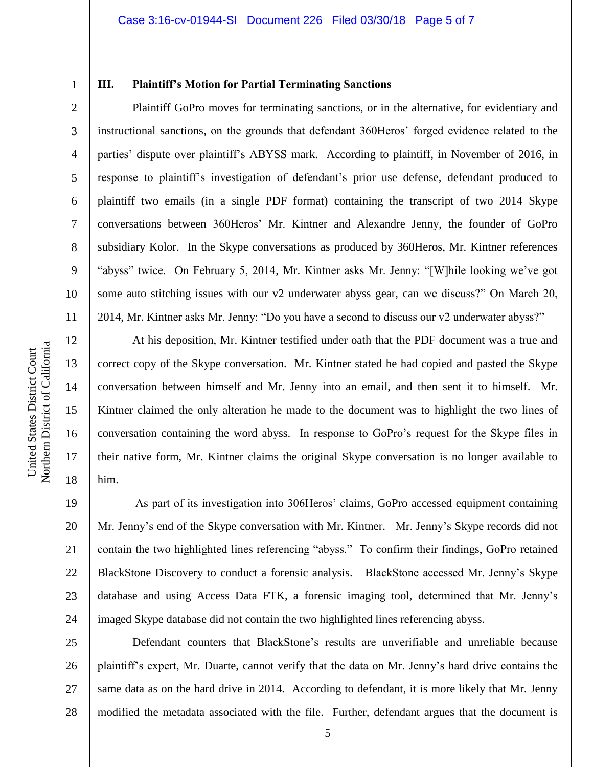#### **III. Plaintiff's Motion for Partial Terminating Sanctions**

Plaintiff GoPro moves for terminating sanctions, or in the alternative, for evidentiary and instructional sanctions, on the grounds that defendant 360Heros' forged evidence related to the parties' dispute over plaintiff's ABYSS mark. According to plaintiff, in November of 2016, in response to plaintiff's investigation of defendant's prior use defense, defendant produced to plaintiff two emails (in a single PDF format) containing the transcript of two 2014 Skype conversations between 360Heros' Mr. Kintner and Alexandre Jenny, the founder of GoPro subsidiary Kolor. In the Skype conversations as produced by 360Heros, Mr. Kintner references "abyss" twice. On February 5, 2014, Mr. Kintner asks Mr. Jenny: "[W]hile looking we've got some auto stitching issues with our v2 underwater abyss gear, can we discuss?" On March 20, 2014, Mr. Kintner asks Mr. Jenny: "Do you have a second to discuss our v2 underwater abyss?"

At his deposition, Mr. Kintner testified under oath that the PDF document was a true and correct copy of the Skype conversation. Mr. Kintner stated he had copied and pasted the Skype conversation between himself and Mr. Jenny into an email, and then sent it to himself. Mr. Kintner claimed the only alteration he made to the document was to highlight the two lines of conversation containing the word abyss. In response to GoPro's request for the Skype files in their native form, Mr. Kintner claims the original Skype conversation is no longer available to him.

19 20 21 22 23 24 As part of its investigation into 306Heros' claims, GoPro accessed equipment containing Mr. Jenny's end of the Skype conversation with Mr. Kintner. Mr. Jenny's Skype records did not contain the two highlighted lines referencing "abyss." To confirm their findings, GoPro retained BlackStone Discovery to conduct a forensic analysis. BlackStone accessed Mr. Jenny's Skype database and using Access Data FTK, a forensic imaging tool, determined that Mr. Jenny's imaged Skype database did not contain the two highlighted lines referencing abyss.

25 26 27 28 Defendant counters that BlackStone's results are unverifiable and unreliable because plaintiff's expert, Mr. Duarte, cannot verify that the data on Mr. Jenny's hard drive contains the same data as on the hard drive in 2014. According to defendant, it is more likely that Mr. Jenny modified the metadata associated with the file. Further, defendant argues that the document is

1

2

3

4

5

6

7

8

9

10

11

12

13

14

15

16

17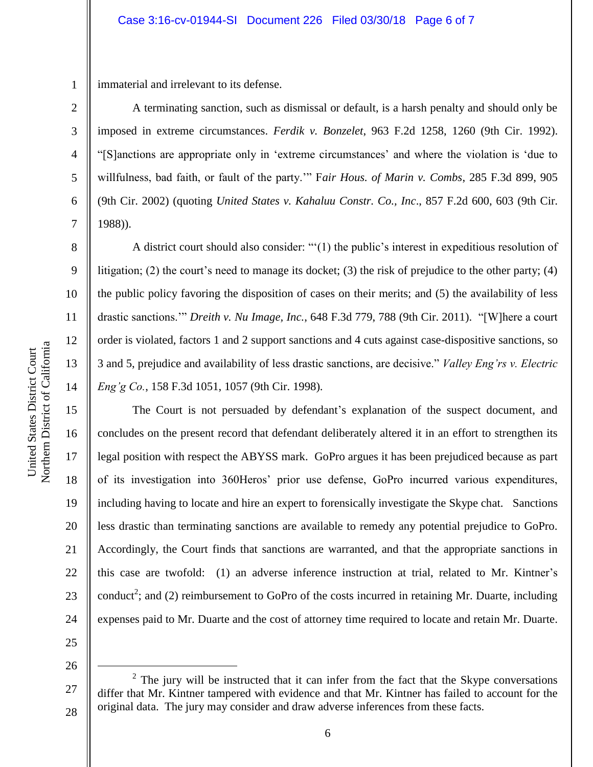1 immaterial and irrelevant to its defense.

A terminating sanction, such as dismissal or default, is a harsh penalty and should only be imposed in extreme circumstances. *Ferdik v. Bonzelet*, 963 F.2d 1258, 1260 (9th Cir. 1992). "[S]anctions are appropriate only in 'extreme circumstances' and where the violation is 'due to willfulness, bad faith, or fault of the party.'" F*air Hous. of Marin v. Combs*, 285 F.3d 899, 905 (9th Cir. 2002) (quoting *United States v. Kahaluu Constr. Co., Inc*., 857 F.2d 600, 603 (9th Cir. 1988)).

A district court should also consider: "'(1) the public's interest in expeditious resolution of litigation; (2) the court's need to manage its docket; (3) the risk of prejudice to the other party; (4) the public policy favoring the disposition of cases on their merits; and (5) the availability of less drastic sanctions.'" *Dreith v. Nu Image, Inc.*, 648 F.3d 779, 788 (9th Cir. 2011). "[W]here a court order is violated, factors 1 and 2 support sanctions and 4 cuts against case-dispositive sanctions, so 3 and 5, prejudice and availability of less drastic sanctions, are decisive." *Valley Eng'rs v. Electric Eng'g Co.*, 158 F.3d 1051, 1057 (9th Cir. 1998).

The Court is not persuaded by defendant's explanation of the suspect document, and concludes on the present record that defendant deliberately altered it in an effort to strengthen its legal position with respect the ABYSS mark. GoPro argues it has been prejudiced because as part of its investigation into 360Heros' prior use defense, GoPro incurred various expenditures, including having to locate and hire an expert to forensically investigate the Skype chat. Sanctions less drastic than terminating sanctions are available to remedy any potential prejudice to GoPro. Accordingly, the Court finds that sanctions are warranted, and that the appropriate sanctions in this case are twofold: (1) an adverse inference instruction at trial, related to Mr. Kintner's conduct<sup>2</sup>; and (2) reimbursement to GoPro of the costs incurred in retaining Mr. Duarte, including expenses paid to Mr. Duarte and the cost of attorney time required to locate and retain Mr. Duarte.

25 26

 $\overline{a}$ 

2

3

4

5

6

7

8

9

10

11

12

13

14

15

16

17

18

19

20

21

22

23

<sup>27</sup> 28  $2$  The jury will be instructed that it can infer from the fact that the Skype conversations differ that Mr. Kintner tampered with evidence and that Mr. Kintner has failed to account for the original data. The jury may consider and draw adverse inferences from these facts.